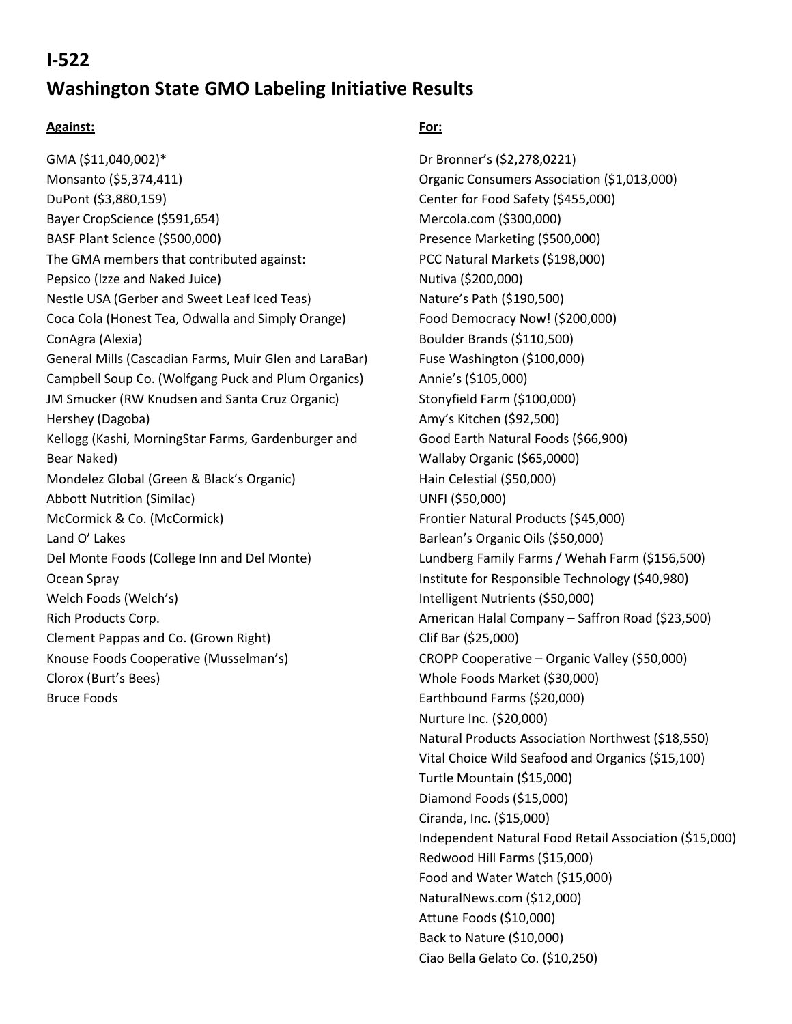## **I-522**

# **Washington State GMO Labeling Initiative Results**

#### **Against:**

GMA (\$11,040,002)\* Monsanto (\$5,374,411) DuPont (\$3,880,159) Bayer CropScience (\$591,654) BASF Plant Science (\$500,000) The GMA members that contributed against: Pepsico (Izze and Naked Juice) Nestle USA (Gerber and Sweet Leaf Iced Teas) Coca Cola (Honest Tea, Odwalla and Simply Orange) ConAgra (Alexia) General Mills (Cascadian Farms, Muir Glen and LaraBar) Campbell Soup Co. (Wolfgang Puck and Plum Organics) JM Smucker (RW Knudsen and Santa Cruz Organic) Hershey (Dagoba) Kellogg (Kashi, MorningStar Farms, Gardenburger and Bear Naked) Mondelez Global (Green & Black's Organic) Abbott Nutrition (Similac) McCormick & Co. (McCormick) Land O' Lakes Del Monte Foods (College Inn and Del Monte) Ocean Spray Welch Foods (Welch's) Rich Products Corp. Clement Pappas and Co. (Grown Right) Knouse Foods Cooperative (Musselman's) Clorox (Burt's Bees) Bruce Foods

### **For:**

Dr Bronner's (\$2,278,0221) Organic Consumers Association (\$1,013,000) Center for Food Safety (\$455,000) Mercola.com (\$300,000) Presence Marketing (\$500,000) PCC Natural Markets (\$198,000) Nutiva (\$200,000) Nature's Path (\$190,500) Food Democracy Now! (\$200,000) Boulder Brands (\$110,500) Fuse Washington (\$100,000) Annie's (\$105,000) Stonyfield Farm (\$100,000) Amy's Kitchen (\$92,500) Good Earth Natural Foods (\$66,900) Wallaby Organic (\$65,0000) Hain Celestial (\$50,000) UNFI (\$50,000) Frontier Natural Products (\$45,000) Barlean's Organic Oils (\$50,000) Lundberg Family Farms / Wehah Farm (\$156,500) Institute for Responsible Technology (\$40,980) Intelligent Nutrients (\$50,000) American Halal Company – Saffron Road (\$23,500) Clif Bar (\$25,000) CROPP Cooperative – Organic Valley (\$50,000) Whole Foods Market (\$30,000) Earthbound Farms (\$20,000) Nurture Inc. (\$20,000) Natural Products Association Northwest (\$18,550) Vital Choice Wild Seafood and Organics (\$15,100) Turtle Mountain (\$15,000) Diamond Foods (\$15,000) Ciranda, Inc. (\$15,000) Independent Natural Food Retail Association (\$15,000) Redwood Hill Farms (\$15,000) Food and Water Watch (\$15,000) NaturalNews.com (\$12,000) Attune Foods (\$10,000) Back to Nature (\$10,000) Ciao Bella Gelato Co. (\$10,250)